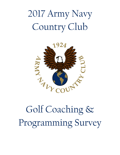# 2017 Army Navy Country Club



# Golf Coaching & Programming Survey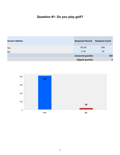## **Question #1: Do you play golf?**

| <b>Answer Options</b> | <b>Response Percent</b> | <b>Response Count</b> |
|-----------------------|-------------------------|-----------------------|
| Yes                   | 95.3%                   | 405                   |
| No                    | 4.7%                    | 20                    |
|                       | answered question       | 425                   |
|                       | skipped question        | $\overline{2}$        |

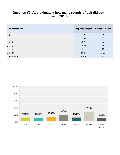#### **Question #2: Approximately how many rounds of golf did you play in 2016?**

| <b>Answer Options</b> | <b>Response Percent</b> | <b>Response Count</b> |
|-----------------------|-------------------------|-----------------------|
| $1-6$                 | 10.9%                   | 44                    |
| $7 - 12$              | 10.6%                   | 43                    |
| $13 - 24$             | 12.9%                   | 52                    |
| $25 - 36$             | 18.6%                   | 75                    |
| 37-48                 | 11.1%                   | 45                    |
| 49-100                | 27.2%                   | 110                   |
| 101 or more           | 8.7%                    | 35                    |

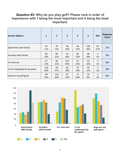#### **Question #3: Why do you play golf? Please rank in order of importance with 1 being the most important and 5 being the least important.**

| <b>Answer Options</b>        | 1          | $\overline{2}$ | $\overline{\mathbf{3}}$ | 4         | 5          | N/A       | <b>Response</b><br>Count |
|------------------------------|------------|----------------|-------------------------|-----------|------------|-----------|--------------------------|
| Spend time with family       | 42<br>11%  | 45<br>12%      | 36<br>10%               | 46<br>12% | 128<br>34% | 81<br>21% | 378                      |
| Socialize with friends       | 83<br>22%  | 84<br>22%      | 92<br>24%               | 82<br>22% | 38<br>10%  | 4<br>1%   | 383                      |
| For exercise                 | 47<br>12%  | 82<br>21%      | 101<br>26%              | 97<br>26% | 54<br>15%  | 5<br>1%   | 386                      |
| To be challenged by the game | 128<br>34% | 64<br>17%      | 69<br>18%               | 74<br>19% | 40<br>11%  | 5<br>1%   | 380                      |
| Improve my golf game         | 98<br>23%  | 116<br>30%     | 87<br>22%               | 72<br>18% | 24<br>6%   | 4<br>1%   | 401                      |

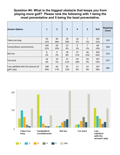#### **Question #4: What is the biggest obstacle that keeps you from playing more golf? Please rank the following with 1 being the most preventative and 5 being the least preventative.**

| <b>Answer Options</b>                            | 1          | $\overline{2}$ | 3         | $\overline{4}$ | 5         | N/A        | <b>Response</b><br>Count |
|--------------------------------------------------|------------|----------------|-----------|----------------|-----------|------------|--------------------------|
| Takes too long                                   | 50<br>15%  | 96<br>28%      | 59<br>18% | 16<br>5%       | 7<br>2%   | 105<br>32% | 333                      |
| Family/Work commitments                          | 184<br>52% | 66<br>19%      | 22<br>6%  | 9<br>2%        | 7<br>2%   | 68<br>19%  | 356                      |
| Not fun                                          | 8<br>2%    | 9<br>2%        | 28<br>8%  | 37<br>11%      | 46<br>15% | 204<br>62% | 332                      |
| Too hard                                         | 16<br>4%   | 18<br>5%       | 37<br>11% | 59<br>18%      | 30<br>9%  | 187<br>53% | 347                      |
| I am satisfied with the amount of<br>golf I play | 108<br>28% | 64<br>17%      | 50<br>13% | 21<br>6%       | 32<br>8%  | 107<br>28% | 382                      |

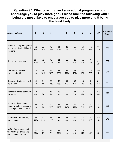#### **Question #5: What coaching and educational programs would encourage you to play more golf? Please rank the following with 1 being the most likely to encourage you to play more and 8 being the least likely.**

| <b>Answer Options</b>                                                              | $\mathbf{1}$ | $\overline{2}$ | $\overline{\mathbf{3}}$ | $\overline{\mathbf{4}}$ | 5         | 6         | $\overline{\mathbf{z}}$ | 8                    | N/A        | Response<br>Count |
|------------------------------------------------------------------------------------|--------------|----------------|-------------------------|-------------------------|-----------|-----------|-------------------------|----------------------|------------|-------------------|
| Group coaching with golfers<br>who are similar in skill and<br>passions            | 61<br>19%    | 62<br>19%      | 43<br>13%               | 31<br>10%               | 22<br>6%  | 16<br>4%  | 14<br>4%                | 12<br>4%             | 69<br>21%  | 330               |
| One-on-one coaching                                                                | 114<br>34%   | 71<br>21%      | 40<br>12%               | 21<br>6%                | 10<br>3%  | 21<br>6%  | 11<br>3%                | $\overline{4}$<br>1% | 45<br>14%  | 337               |
| Coaching with social<br>aspects mixed in                                           | 17<br>5%     | 29<br>10%      | 32<br>10%               | 41<br>13%               | 39<br>12% | 33<br>10% | 32<br>10%               | 15<br>5%             | 80<br>25%  | 318               |
| Opportunities to learn with<br>my friends                                          | 11<br>4%     | 24<br>7%       | 30<br>10%               | 45<br>15%               | 51<br>17% | 38<br>12% | 23<br>7%                | $\overline{7}$<br>2% | 81<br>26%  | 310               |
| Opportunities to learn with<br>my family                                           | 14<br>4%     | 21<br>6%       | 18<br>6%                | 26<br>9%                | 19<br>6%  | 23<br>7%  | 37<br>12%               | 31<br>10%            | 126<br>40% | 315               |
| Opportunities to meet<br>people who have the same<br>level of golf ability as I do | 28<br>9%     | 31<br>9%       | 40<br>12%               | 38<br>12%               | 46<br>14% | 40<br>12% | 22<br>7%                | $\overline{7}$<br>2% | 76<br>23%  | 328               |
| Offer on-course coaching<br>opportunities                                          | 57<br>17%    | 72<br>21%      | 66<br>19%               | 28<br>8%                | 23<br>8%  | 20<br>6%  | 18<br>5%                | $\overline{7}$<br>2% | 49<br>14%  | 340               |
| ANCC offers enough and<br>the right type of learning<br>opportunities for me       | 70<br>21%    | 14<br>4%       | 22<br>7%                | 33<br>10%               | 17<br>5%  | 19<br>5%  | 35<br>11%               | 37<br>11%            | 85<br>26%  | 332               |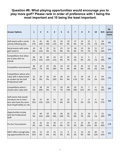#### **Question #6: What playing opportunities would encourage you to play more golf? Please rank in order of preference with 1 being the most important and 10 being the least important.**

| <b>Answer Options</b>                                                                                     | $\mathbf{1}$ | $\overline{2}$ | $\overline{\mathbf{3}}$ | $\overline{4}$ | 5         | 6         | $\overline{7}$ | 8                    | 9         | 10                   | N/A       | Re-<br>sponse<br>Count |
|-----------------------------------------------------------------------------------------------------------|--------------|----------------|-------------------------|----------------|-----------|-----------|----------------|----------------------|-----------|----------------------|-----------|------------------------|
| Golf events with a social<br>activity following play                                                      | 51<br>17%    | 41<br>14%      | 40<br>14%               | 33<br>11%      | 16<br>5%  | 19<br>6%  | 17<br>6%       | 14<br>5%             | 15<br>5%  | $\mathbf{1}$<br>1%   | 44<br>15% | 291                    |
| Social events with some<br>golf mixed in                                                                  | 16<br>6%     | 35<br>12%      | 25<br>9%                | 21<br>7%       | 23<br>8%  | 14<br>5%  | 18<br>6%       | 19<br>7%             | 20<br>7%  | 21<br>7%             | 67<br>24% | 279                    |
| Competitions that allow<br>me to play with my<br>friends                                                  | 49<br>17%    | 39<br>13%      | 38<br>13%               | 33<br>11%      | 25<br>9%  | 20<br>7%  | 16<br>5%       | 11<br>4%             | 5<br>2%   | $\mathbf{1}$<br>1%   | 51<br>18% | 288                    |
| Competitive tournaments                                                                                   | 36<br>13%    | 19<br>7%       | 25<br>9%                | 28<br>10%      | 19<br>7%  | 25<br>9%  | 24<br>8%       | 25<br>9%             | 12<br>4%  | 10<br>3%             | 59<br>21% | 282                    |
| Competitions where who<br>I play with is determined<br>at random by the Golf<br>Professional staff        | 12<br>4%     | 24<br>9%       | 26<br>9%                | 29<br>10%      | 26<br>9%  | 25<br>9%  | 31<br>11%      | 19<br>7%             | 14<br>5%  | 6<br>2%              | 64<br>23% | 276                    |
| Competitions where I<br>choose who I play with                                                            | 15<br>5%     | 28<br>10%      | 18<br>6%                | 21<br>7%       | 29<br>7%  | 40<br>14% | 29<br>10%      | 31<br>11%            | 7<br>2%   | 4<br>1%              | 63<br>22% | 285                    |
| Golf events that would<br>introduce me to mem-<br>bers who have the same<br>level of golf ability as I do | 66<br>21%    | 37<br>12%      | 39<br>12%               | 21<br>7%       | 26<br>8%  | 16<br>5%  | 22<br>7%       | $\overline{7}$<br>2% | 17<br>5%  | $\overline{4}$<br>1% | 53<br>17% | 308                    |
| Opportunities to play<br>with the Professional<br><b>Staff</b>                                            | 15<br>5%     | 44<br>15%      | 29<br>10%               | 28<br>10%      | 28<br>10% | 20<br>7%  | 23<br>8%       | 21<br>7%             | 18<br>6%  | 3<br>1%              | 53<br>19% | 282                    |
| Pro Am Tournaments                                                                                        | 10<br>4%     | 16<br>6%       | 16<br>6%                | 18<br>6%       | 17<br>6%  | 19<br>7%  | 8<br>3%        | 23<br>8%             | 42<br>15% | 26<br>9%             | 83<br>30% | 278                    |
| ANCC offers enough play-<br>ing opportunities for me                                                      | 101<br>31%   | 12<br>4%       | 19<br>6%                | 13<br>4%       | 11<br>3%  | 9<br>3%   | 6<br>2%        | 14<br>4%             | 25<br>8%  | 40<br>12%            | 73<br>23% | 323                    |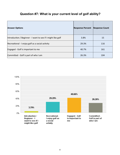### **Question #7: What is your current level of golf ability?**

| <b>Answer Options</b>                                        | <b>Response Percent</b> | <b>Response Count</b> |
|--------------------------------------------------------------|-------------------------|-----------------------|
| Introduction / Beginner - I want to see if I might like golf | 3.8%                    | 15                    |
| Recreational - I enjoy golf as a social activity             | 29.3%                   | 116                   |
| Engaged - Golf is important to me                            | 40.7%                   | 161                   |
| Committed - Golf is part of who I am                         | 26.3%                   | 104                   |

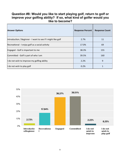#### **Question #8: Would you like to start playing golf, return to golf or improve your golfing ability? If so, what kind of golfer would you like to become?**

| <b>Answer Options</b>                                        | <b>Response Percent</b> | <b>Response Count</b> |
|--------------------------------------------------------------|-------------------------|-----------------------|
| Introduction / Beginner - I want to see if I might like golf | 2.7%                    | 11                    |
| Recreational - I enjoy golf as a social activity             | 17.0%                   | 69                    |
| Engaged - Golf is important to me                            | 38.3%                   | 155                   |
| Committed - Golf is part of who I am                         | 39.5%                   | 160                   |
| I do not wish to improve my golfing ability                  | 2.2%                    | 9                     |
| I do not wish to play golf                                   | 0.2%                    |                       |

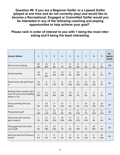**Question #9: If you are a Beginner Golfer or a Lapsed Golfer (played at one time and do not currently play) and would like to become a Recreational, Engaged or Committed Golfer would you be interested in any of the following coaching and playing opportunities to help achieve your goal?** 

**Please rank in order of interest to you with 1 being the most interesting and 9 being the least interesting.**

| <b>Answer Options</b>                                                          | $\mathbf{1}$   | $\overline{2}$ | $\overline{\mathbf{3}}$ | 4                    | 5                    | 6              | $\overline{7}$ | 8                    | 9                    | Re-<br>sponse<br>Count |
|--------------------------------------------------------------------------------|----------------|----------------|-------------------------|----------------------|----------------------|----------------|----------------|----------------------|----------------------|------------------------|
| One-on-one coaching                                                            | 49<br>49%      | 10<br>10%      | 8<br>8%                 | $\overline{7}$<br>7% | 8<br>8%              | 8<br>8%        | 5<br>5%        | $\overline{2}$<br>2% | $\overline{3}$<br>3% | 100                    |
| <b>Group Coaching</b>                                                          | 16<br>17%      | 25<br>26%      | 13<br>14%               | 14<br>14%            | 8<br>8%              | 10<br>10%      | 5<br>5%        | 3<br>3%              | $\overline{2}$<br>2% | 96                     |
| Social events with golf mixed                                                  | 10             | 6              | 9                       | 6                    | 14                   | 11             | 12             | 10                   | 6                    | 84                     |
| lin                                                                            | 12%            | 7%             | 12%                     | 7%                   | 16%                  | 13%            | 14%            | 12%                  | 7%                   |                        |
| Meeting other members who<br>have the same level of golfing<br>ability as I do | 22<br>20%      | 15<br>15%      | 25<br>24%               | 16<br>16%            | 10<br>10%            | 5<br>5%        | 6<br>6%        | $\overline{3}$<br>3% | $\mathbf{1}$<br>1%   | 103                    |
| Group coaching with your                                                       | $\overline{7}$ | 10             | $\overline{4}$          | 12                   | $\overline{7}$       | $\overline{7}$ | 14             | 12                   | 10                   | 83                     |
| family                                                                         | 8%             | 12%            | 5%                      | 15%                  | 8%                   | 8%             | 17%            | 15%                  | 12%                  |                        |
| Playing family golf                                                            | 9<br>10%       | 11<br>13%      | 13<br>14%               | 8<br>9%              | $\overline{7}$<br>8% | 11<br>13%      | 6<br>7%        | 12<br>13%            | 11<br>13%            | 88                     |
| Golf events with social as-                                                    | $\mathbf{1}$   | 12             | 12                      | 18                   | 17                   | 11             | 14             | $\overline{4}$       | 4                    | 93                     |
| pects mixed in                                                                 | 1%             | 13%            | 13%                     | 19%                  | 19%                  | 12%            | 15%            | 4%                   | 4%                   |                        |
| Playing golf with the Profes-                                                  | $\overline{4}$ | 16             | 14                      | 6                    | 5                    | 9              | 6              | 26                   | $\overline{4}$       | 90                     |
| sional Staff                                                                   | 4%             | 18%            | 16%                     | 7%                   | 6%                   | 10%            | 7%             | 28%                  | 4%                   |                        |
| Golf trips with the Profession-                                                | $\overline{4}$ | $\overline{4}$ | 6                       | 5                    | 3                    | $\overline{4}$ | 11             | 6                    | 43                   | 86                     |
| al Staff                                                                       | 5%             | 5%             | 7%                      | 6%                   | 3%                   | 5%             | 12%            | 7%                   | 50%                  |                        |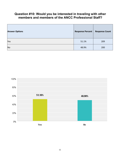#### **Question #10: Would you be interested in traveling with other members and members of the ANCC Professional Staff?**

| <b>Answer Options</b> | <b>Response Percent</b> | <b>Response Count</b> |
|-----------------------|-------------------------|-----------------------|
| Yes                   | 51.1%                   | 209                   |
| <b>No</b>             | 48.9%                   | 200                   |

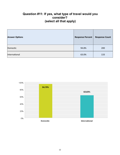#### **Question #11: If yes, what type of travel would you consider? (select all that apply)**

| <b>Answer Options</b> | <b>Response Percent</b> | <b>Response Count</b> |
|-----------------------|-------------------------|-----------------------|
| Domestic              | 94.8%                   | 200                   |
| International         | 63.0%                   | 133                   |

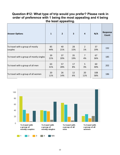#### **Question #12: What type of trip would you prefer? Please rank in order of preference with 1 being the most appealing and 4 being the least appealing.**

| <b>Answer Options</b>                       | $\mathbf{1}$ | $\overline{2}$ | $\overline{\mathbf{3}}$ | $\overline{4}$       | N/A        | Response<br>Count |
|---------------------------------------------|--------------|----------------|-------------------------|----------------------|------------|-------------------|
| To travel with a group of mostly<br>couples | 85<br>44%    | 40<br>21%      | 28<br>15%               | $\overline{2}$<br>1% | 37<br>19%  | 192               |
| To travel with a group of mostly singles    | 39<br>21%    | 37<br>20%      | 35<br>19%               | 7<br>4%              | 67<br>36%  | 185               |
| To travel with a group of all men           | 63<br>31%    | 57<br>28%      | 17<br>8%                | 5<br>3%              | 60<br>30%  | 202               |
| To travel with a group of all women         | 20<br>11%    | 26<br>14%      | 12<br>6%                | 20<br>11%            | 108<br>58% | 186               |

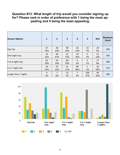#### **Question #13: What length of trip would you consider signing up for? Please rank in order of preference with 1 being the most appealing and 5 being the least appealing.**

| <b>Answer Options</b> | 1                    | $\overline{2}$ | 3         | $\overline{4}$ | $5\phantom{1}$       | N/A       | <b>Response</b><br>Count |
|-----------------------|----------------------|----------------|-----------|----------------|----------------------|-----------|--------------------------|
| Day trip              | 67<br>33%            | 28<br>14%      | 48<br>24% | 26<br>13%      | 15<br>7%             | 20<br>9%  | 204                      |
| One night stay        | 32<br>16%            | 96<br>47%      | 31<br>15% | 19<br>10%      | 5<br>2%              | 21<br>10% | 204                      |
| 2 to 4 night stay     | 81<br>39%            | 34<br>16%      | 68<br>33% | 6<br>3%        | $\overline{2}$<br>1% | 17<br>8%  | 208                      |
| 5 to 7 night stay     | 24<br>13%            | 25<br>13%      | 21<br>11% | 89<br>46%      | 1<br>1%              | 32<br>16% | 192                      |
| Longer than 7 nights  | $\overline{4}$<br>2% | 7<br>4%        | 13<br>7%  | 7<br>4%        | 106<br>57%           | 49<br>26% | 186                      |

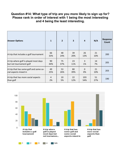#### **Question #14: What type of trip are you more likely to sign up for? Please rank in order of interest with 1 being the most interesting and 4 being the least interesting.**

| <b>Answer Options</b>                  | $\mathbf{1}$ | $\overline{2}$ | $\overline{\mathbf{3}}$ | $\overline{4}$ | N/A       | <b>Response</b><br>Count |
|----------------------------------------|--------------|----------------|-------------------------|----------------|-----------|--------------------------|
| A trip that includes a golf tournament | 66<br>33%    | 48<br>24%      | 39<br>20%               | 26<br>13%      | 21<br>10% | 200                      |
| A trip where golf is played most days  | 90           | 75             | 23                      | 3              | 14        | 205                      |
| but not tournament golf                | 44%          | 37%            | 11%                     | 1%             | 7%        |                          |
| A trip that has some golf and some so- | 49           | 53             | 80                      | $\mathbf{0}$   | 21        | 203                      |
| cial aspects mixed in                  | 25%          | 26%            | 39%                     | 0%             | 10%       |                          |
| A trip that has more social aspects    | 4            | 10             | 22                      | 103            | 51        | 190                      |
| than golf                              | 2%           | 5%             | 12%                     | 54%            | 27%       |                          |

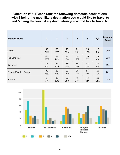#### **Question #15: Please rank the following domestic destinations with 1 being the most likely destination you would like to travel to and 5 being the least likely destination you would like to travel to.**

| <b>Answer Options</b> | 1          | $\overline{2}$ | 3         | $\overline{\mathbf{4}}$ | 5         | N/A       | <b>Response</b><br>Count |
|-----------------------|------------|----------------|-----------|-------------------------|-----------|-----------|--------------------------|
| Florida               | 45<br>22%  | 73<br>35%      | 27<br>13% | 21<br>10%               | 26<br>12% | 17<br>8%  | 209                      |
| The Carolinas         | 108<br>50% | 53<br>24%      | 14<br>6%  | 19<br>9%                | 10<br>5%  | 14<br>6%  | 218                      |
| California            | 11<br>6%   | 29<br>15%      | 55<br>28% | 49<br>25%               | 33<br>17% | 18<br>9%  | 195                      |
| Oregon (Bandon Dunes) | 36<br>18%  | 20<br>10%      | 32<br>16% | 38<br>18%               | 56<br>28% | 20<br>10% | 202                      |
| Arizona               | 7<br>3%    | 25<br>12%      | 57<br>29% | 46<br>23%               | 43<br>22% | 21<br>11% | 199                      |

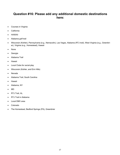#### **Question #16: Please add any additional domestic destinations here:**

- Courses in Virginia
- California
- HAWAII
- Alabama golf trail
- Wisconsin (Kohler), Pennsylvania (e.g., Nemacolin), Las Vegas, Alabama (RTJ trail), West Virginia (e.g., Greenbrier), Virginia (e.g., Homestead), Hawaii
- None
- **•** Georgia
- Alabama Trail
- **•** Hawaii
- Local Clubs for social play
- Wisconsin (Kohler, and Erin Hills)
- Nevada
- Alabama Trail, South Carolina
- **•** Hawaii
- Alabama, NY
- MD
- RTJ Trail, AL.
- RTJ Trail in Alabama
- Local DMV area
- Colorado
- The Homestead, Bedford Springs (PA), Greenbrier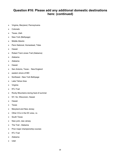#### **Question #16: Please add any additional domestic destinations here: (continued)**

- Virginia, Maryland, Pennsylvania
- Colorado
- Texas, Utah
- New York (Bethpage)
- Middle Atlantic
- Penn National, Homestead, Tides
- Hawaii
- Robert Trent Jones Trail (Alabama)
- Alabama
- Alabama
- Hawaii
- San Antonio, Texas New England
- eastern shore of MD
- Northeast New York Bethpage
- Lake Tahoe Area
- Virginia
- RTJ Trail
- Rocky Mountains during heat of summer
- NY, NJ, Wisconsin, Hawaii
- Hawaii
- Texas
- Maryland and New Jersey
- Other CCs in the DC area, i.e.
- South Texas
- New york, new Jersey
- The Trail Alabama
- Prior major championship courses
- RTJ Trail
- Alabama
- Utah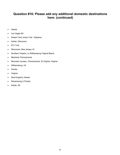#### **Question #16: Please add any additional domestic destinations here: (continued)**

- Hawaii
- Las Vegas NV
- Robert Trent Jones Trail Alabama
- Kohler, Wisconsin
- RTJ Trail
- Wisconsin; New Jersey; HI
- Southern Virginia, I.e Williamsburg Virginia Beach
- Maryland, Pennsylvania
- Mountain courses...Pennsylvania, W Virginia, Virginia
- Williamsburg, VA
- Florida
- Virginia
- New England, Hawaii
- Streamsong in Florida
- Kohler, WI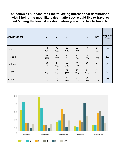#### **Question #17. Please rank the following international destinations with 1 being the most likely destination you would like to travel to and 5 being the least likely destination you would like to travel to.**

| <b>Answer Options</b> | $\mathbf{1}$ | $\overline{2}$ | $\overline{\mathbf{3}}$ | $\overline{a}$ | 5         | N/A       | <b>Response</b><br>Count |
|-----------------------|--------------|----------------|-------------------------|----------------|-----------|-----------|--------------------------|
| Ireland               | 54<br>28%    | 73<br>38%      | 20<br>10%               | 21<br>10%      | 9<br>5%   | 18<br>9%  | 195                      |
| Scotland              | 85<br>42%    | 58<br>30%      | 15<br>7%                | 15<br>7%       | 9<br>5%   | 18<br>9%  | 200                      |
| Caribbean             | 23<br>12%    | 27<br>14%      | 55<br>30%               | 44<br>24%      | 10<br>5%  | 27<br>15% | 186                      |
| Mexico                | 12<br>7%     | 10<br>5%       | 27<br>15%               | 23<br>13%      | 71<br>39% | 39<br>21% | 182                      |
| Bermuda               | 15<br>8%     | 15<br>8%       | 47<br>26%               | 51<br>27%      | 38<br>20% | 21<br>11% | 187                      |

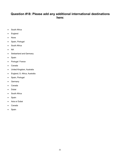#### **Question #18: Please add any additional international destinations here:**

- South Africa
- England
- None
- Spain, Portugal
- South Africa
- $\bullet$  NA
- Switzerland and Germany
- Spain
- Portugal France
- Canada
- United Kingdom, Australia
- England, S. Africa, Australia
- Spain, Portugal
- **Germany**
- Canada
- Dubai
- South Africa
- Spain
- Asia or Dubai
- Canada
- Spain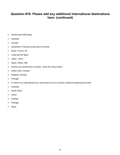#### **Question #18: Please add any additional international destinations here: (continued)**

- SPAIN and PORTUGAL
- Australia
- Canada
- Anywhere in Canada during heat of summer
- Spain, France, UK
- Costa del Sol Spain
- Japan, china
- Spain, Dubai, UAE
- Austria (can recommend a contact done this many times!)
- Cabot Links, Canada
- England; Canada;
- Portugal
- If I went on an international trip I would want it to be a mixture of golf and exploring the areas
- Australia
- South Africa
- Aruba
- Canada
- Portugal
- Spain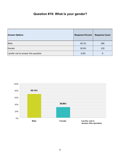## **Question #19: What is your gender?**

| <b>Answer Options</b>                | <b>Response Percent</b> | <b>Response Count</b> |
|--------------------------------------|-------------------------|-----------------------|
| Male                                 | 69.1%                   | 289                   |
| Female                               | 30.9%                   | 129                   |
| I prefer not to answer this question | 0.0%                    | 0                     |

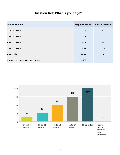## **Question #20: What is your age?**

| <b>Answer Options</b>                | <b>Response Percent</b> | <b>Response Count</b> |
|--------------------------------------|-------------------------|-----------------------|
| 24 to 34 years                       | 5.0%                    | 21                    |
| 35 to 44 years                       | 10.2%                   | 43                    |
| 45 to 54 years                       | 18.7%                   | 79                    |
| 55 to 64 years                       | 28.0%                   | 118                   |
| 65 or older                          | 37.9%                   | 160                   |
| I prefer not to answer this question | 0.2%                    | 1                     |

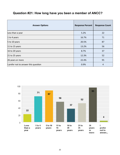### **Question #21: How long have you been a member of ANCC?**

| <b>Answer Options</b>                | <b>Response Percent</b> | <b>Response Count</b> |
|--------------------------------------|-------------------------|-----------------------|
| Less than a year                     | 5.2%                    | 22                    |
| 1 to 4 years                         | 16.7%                   | 71                    |
| 5 to 10 years                        | 20.5%                   | 87                    |
| 11 to 15 years                       | 13.2%                   | 56                    |
| 16 to 20 years                       | 8.7%                    | 37                    |
| $21$ to 25 years                     | 12.3%                   | 52                    |
| 26 years or more                     | 22.4%                   | 95                    |
| I prefer not to answer this question | 0.9%                    | 4                     |

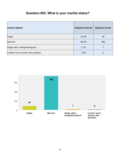## **Question #22: What is your marital status?**

| <b>Answer Options</b>                | <b>Response Percent</b> | <b>Response Count</b> |
|--------------------------------------|-------------------------|-----------------------|
| Single                               | 10.4%                   | 44                    |
| Married                              | 86.5%                   | 366                   |
| Single with a designated guest       | 1.7%                    | 7                     |
| I prefer not to answer this question | 1.4%                    | 6                     |

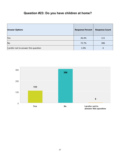## **Question #23: Do you have children at home?**

| <b>Answer Options</b>                | <b>Response Percent</b> | <b>Response Count</b> |
|--------------------------------------|-------------------------|-----------------------|
| Yes                                  | 26.4%                   | 111                   |
| <b>No</b>                            | 72.7%                   | 306                   |
| I prefer not to answer this question | 1.0%                    | 4                     |

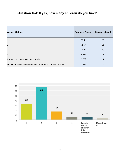## **Question #24: If yes, how many children do you have?**

| <b>Answer Options</b>                                   | <b>Response Percent</b> | <b>Response Count</b> |
|---------------------------------------------------------|-------------------------|-----------------------|
|                                                         | 25.0%                   | 33                    |
| $\overline{2}$                                          | 51.5%                   | 68                    |
| $\vert$ 3                                               | 12.9%                   | 17                    |
| $\overline{4}$                                          | 4.5%                    | 6                     |
| I prefer not to answer this question                    | 3.8%                    | 5                     |
| How many children do you have at home? (if more than 4) | 2.3%                    | 3                     |

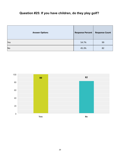## **Question #25: If you have children, do they play golf?**

| <b>Answer Options</b> | <b>Response Percent</b> | <b>Response Count</b> |
|-----------------------|-------------------------|-----------------------|
| Yes                   | 54.7%                   | 99                    |
| <b>No</b>             | 45.3%                   | 82                    |

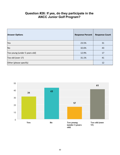#### **Question #26: If yes, do they participate in the ANCC Junior Golf Program?**

| <b>Answer Options</b>         | <b>Response Percent</b> | <b>Response Count</b> |
|-------------------------------|-------------------------|-----------------------|
| Yes                           | 23.5%                   | 31                    |
| <b>No</b>                     | 32.6%                   | 43                    |
| Too young (under 5 years old) | 12.9%                   | 17                    |
| Too old (over 17)             | 31.1%                   | 41                    |
| Other (please specify)        |                         | 12                    |

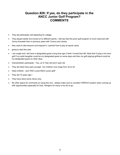#### **Question #26: If yes, do they participate in the ANCC Junior Golf Program? COMMENTS**

- They did participate until departing for college.
- They played earlier but moved on to different sports. I will say that the junior golf program is much improved with Jimmy Kowalski than in previous years with Tommy and James.
- they used to take lessons and enjoyed it. Learned how to play at sports camp
- going to start this year
- I am single and I did have a designated guest a long time ago (I think I turned that off). Note that I'd play a lot more golf if my adult daughter could be my designated guest on some days and then my golf-playing girlfriend could be my designated guest on other days.
- Grandchildren participate Two, an 8 Year old and 5 year old.
- They did when they were younger. Our children now range from 32 to 24.
- Adult children and YES! Loved ANCC junior golf!
- They did 15 years ago !
- They have done some clinics only.
- No other space for comments so using this one please make sure to consider FAIRFAX location when coming up with opportunities especially for kids. Arlington for many is too far to go.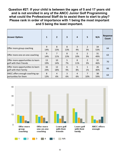**Question #27: If your child is between the ages of 5 and 17 years old and is not enrolled in any of the ANCC Junior Golf Programming what could the Professional Staff do to assist them to start to play? Please rank in order of importance with 1 being the most important and 5 being the least important.**

| <b>Answer Options</b>             | 1        | $\overline{2}$ | 3        | 4        | 5                    | N/A       | <b>Response</b><br>Count |
|-----------------------------------|----------|----------------|----------|----------|----------------------|-----------|--------------------------|
| Offer more group coaching         | 9<br>14% | 8<br>13%       | 8<br>13% | 3<br>4%  | 2<br>3%              | 34<br>53% | 64                       |
| Offer more one-on-one coaching    | 9<br>14% | 11%            | 8<br>13% | 6<br>10% | $\overline{2}$<br>3% | 31<br>49% | 63                       |
| Offer more opportunities to learn | 13       | 10             | 5        | 8        | 2                    | 32        | 70                       |
| golf with their friends           | 19%      | 14%            | 7%       | 11%      | 3%                   | 46%       |                          |
| Offer more opportunities to learn | 16       | 12             | 6        | 5        | $\mathbf{1}$         | 26        | 66                       |
| golf with their family            | 24%      | 18%            | 9%       | 8%       | 1%                   | 40%       |                          |
| ANCC offers enough coaching op-   | 8        | 4              | 3        | 4        | 7                    | 38        | 64                       |
| portunities for them              | 13%      | 6%             | 6%       | 6%       | 10%                  | 59%       |                          |